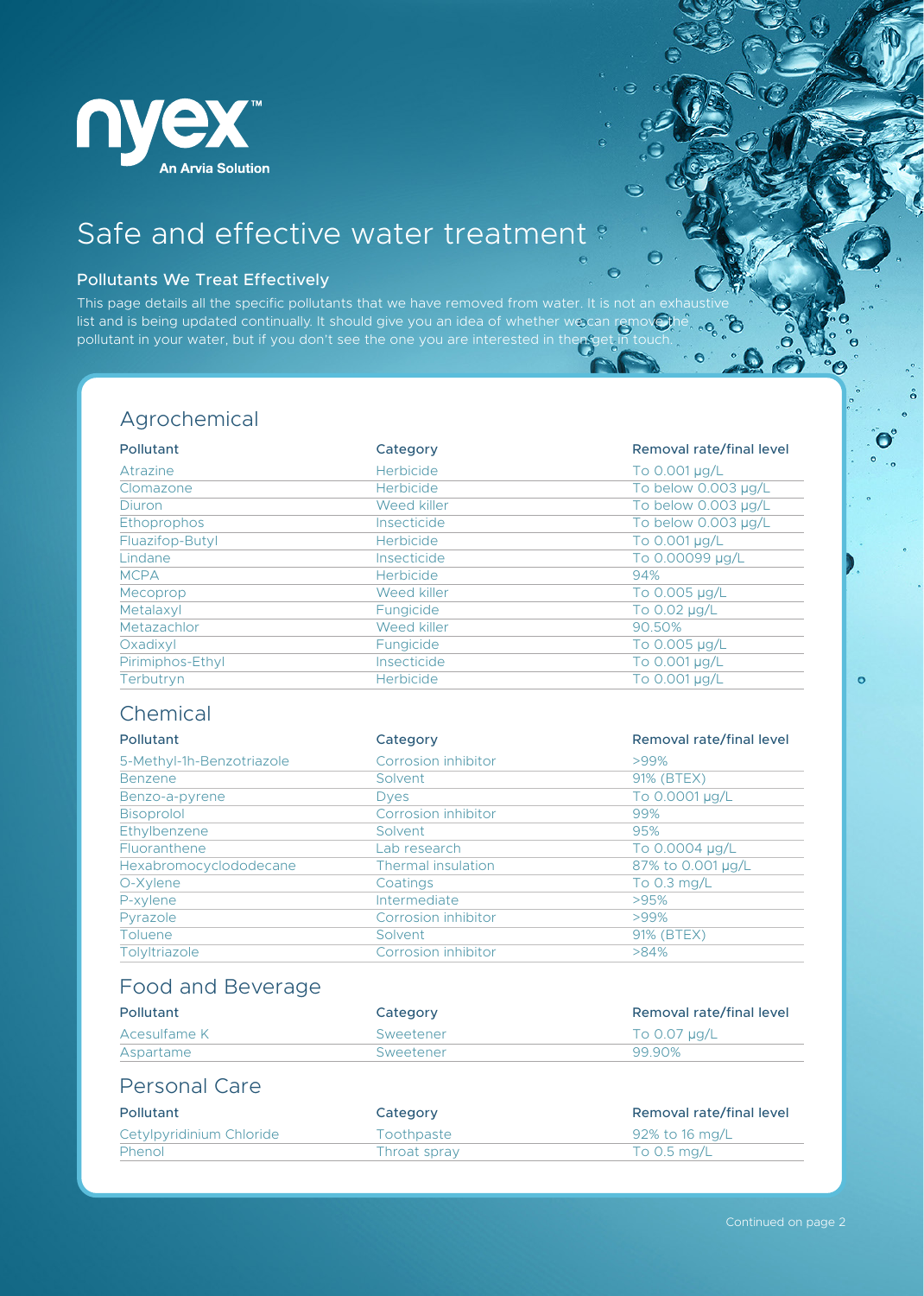

# Safe and effective water treatment ®

#### Pollutants We Treat Effectively

This page details all the specific pollutants that we have removed from water. It is not an exha list and is being updated continually. It should give you an idea of whether we can remove the eq pollutant in your water, but if you don't see the one you are interested in then get in touch.

# Agrochemical

| Pollutant          | Category                         | Removal rate/final level |
|--------------------|----------------------------------|--------------------------|
| Atrazine           | <b>Herbicide</b>                 | To 0.001 µg/L            |
| Clomazone          | <b>Herbicide</b>                 | To below 0.003 µg/L      |
| <b>Diuron</b>      | Weed killer                      | To below 0.003 µg/L      |
| <b>Ethoprophos</b> | <i><u><b>Insecticide</b></u></i> | To below 0.003 µg/L      |
| Fluazifop-Butyl    | Herbicide                        | To 0.001 µg/L            |
| Lindane            | Insecticide                      | To 0.00099 µg/L          |
| <b>MCPA</b>        | <b>Herbicide</b>                 | 94%                      |
| Mecoprop           | Weed killer                      | To 0.005 µg/L            |
| Metalaxyl          | Fungicide                        | To 0.02 µg/L             |
| Metazachlor        | Weed killer                      | 90.50%                   |
| Oxadixyl           | Fungicide                        | To 0.005 µg/L            |
| Pirimiphos-Ethyl   | Insecticide                      | To 0.001 µg/L            |
| Terbutryn          | <b>Herbicide</b>                 | To 0.001 ug/L            |

### Chemical

| Pollutant                 | Category                  | Removal rate/final level |
|---------------------------|---------------------------|--------------------------|
| 5-Methyl-1h-Benzotriazole | Corrosion inhibitor       | $>99\%$                  |
| <b>Benzene</b>            | Solvent                   | 91% (BTEX)               |
| Benzo-a-pyrene            | <b>Dyes</b>               | To 0.0001 µg/L           |
| <b>Bisoprolol</b>         | Corrosion inhibitor       | 99%                      |
| Ethylbenzene              | Solvent                   | 95%                      |
| Fluoranthene              | Lab research              | To 0.0004 µg/L           |
| Hexabromocyclododecane    | <b>Thermal insulation</b> | 87% to 0.001 µg/L        |
| O-Xylene                  | Coatings                  | To $0.3 \text{ mg/L}$    |
| P-xylene                  | <b>Intermediate</b>       | >95%                     |
| Pyrazole                  | Corrosion inhibitor       | $>99\%$                  |
| Toluene                   | Solvent                   | 91% (BTEX)               |
| Tolvitriazole             | Corrosion inhibitor       | $>84\%$                  |

## Food and Beverage

| Pollutant    | Category  | Removal rate/final level |
|--------------|-----------|--------------------------|
| Acesulfame K | Sweetener | To 0.07 $\mu$ g/L        |
| Aspartame    | Sweetener | 99.90%                   |

#### Personal Care

| Pollutant                | Category     | Removal rate/final level |
|--------------------------|--------------|--------------------------|
| Cetylpyridinium Chloride | Toothpaste   | 92% to 16 mg/L           |
| Phenol                   | Throat spray | To $0.5$ ma/L            |